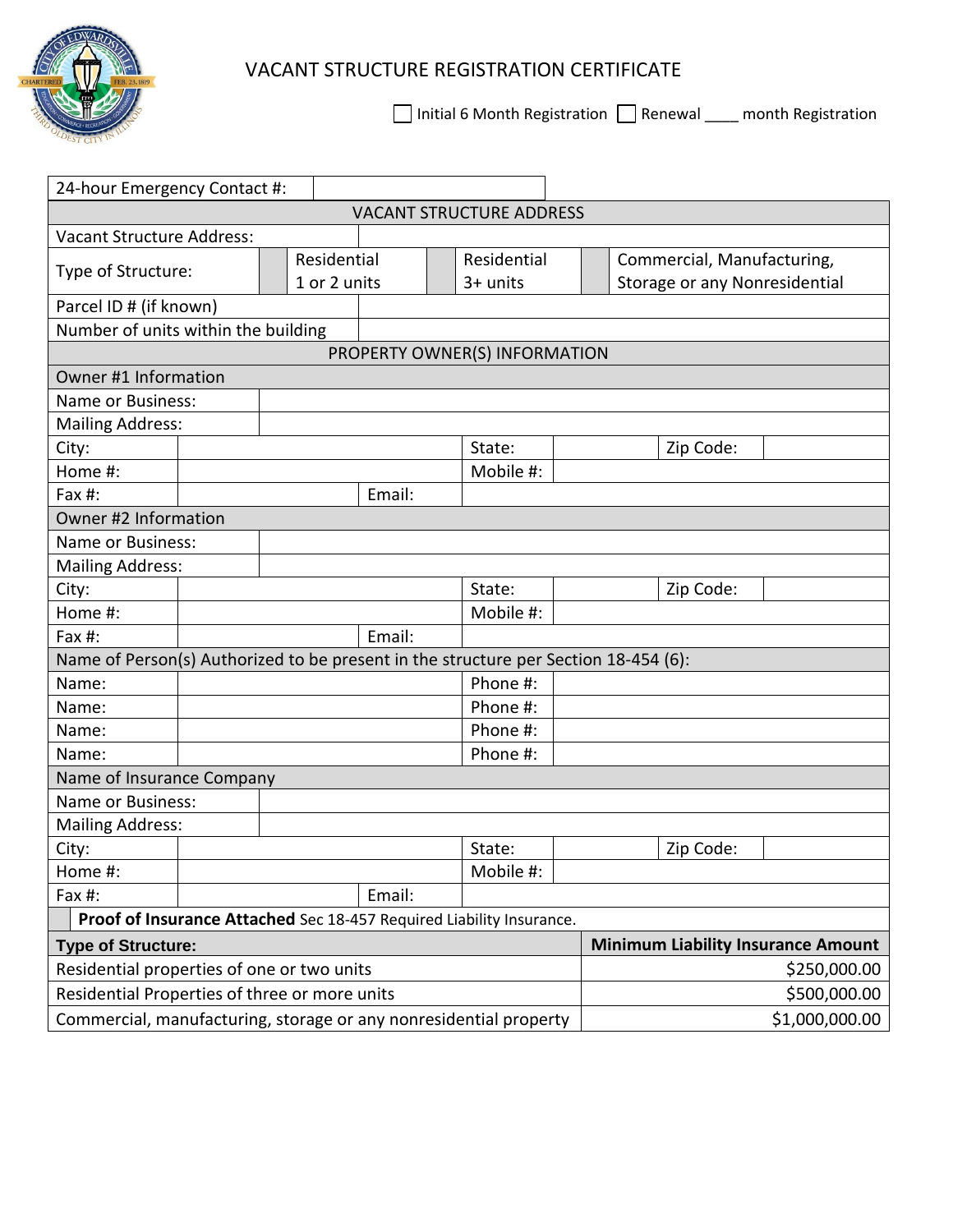

## VACANT STRUCTURE REGISTRATION CERTIFICATE

 $\Box$  Initial 6 Month Registration  $\Box$  Renewal  $\Box$  month Registration

| 24-hour Emergency Contact #:                                                        |                                                                   |              |  |        |  |             |  |                                           |  |  |
|-------------------------------------------------------------------------------------|-------------------------------------------------------------------|--------------|--|--------|--|-------------|--|-------------------------------------------|--|--|
| <b>VACANT STRUCTURE ADDRESS</b>                                                     |                                                                   |              |  |        |  |             |  |                                           |  |  |
| <b>Vacant Structure Address:</b>                                                    |                                                                   |              |  |        |  |             |  |                                           |  |  |
| Type of Structure:                                                                  |                                                                   | Residential  |  |        |  | Residential |  | Commercial, Manufacturing,                |  |  |
|                                                                                     |                                                                   | 1 or 2 units |  |        |  | $3+$ units  |  | Storage or any Nonresidential             |  |  |
| Parcel ID # (if known)                                                              |                                                                   |              |  |        |  |             |  |                                           |  |  |
| Number of units within the building                                                 |                                                                   |              |  |        |  |             |  |                                           |  |  |
| PROPERTY OWNER(S) INFORMATION                                                       |                                                                   |              |  |        |  |             |  |                                           |  |  |
| Owner #1 Information                                                                |                                                                   |              |  |        |  |             |  |                                           |  |  |
| Name or Business:                                                                   |                                                                   |              |  |        |  |             |  |                                           |  |  |
| <b>Mailing Address:</b>                                                             |                                                                   |              |  |        |  |             |  |                                           |  |  |
| City:                                                                               |                                                                   |              |  |        |  | State:      |  | Zip Code:                                 |  |  |
| Home #:                                                                             |                                                                   |              |  |        |  | Mobile #:   |  |                                           |  |  |
| Fax $#$ :                                                                           |                                                                   |              |  | Email: |  |             |  |                                           |  |  |
| Owner #2 Information                                                                |                                                                   |              |  |        |  |             |  |                                           |  |  |
| Name or Business:                                                                   |                                                                   |              |  |        |  |             |  |                                           |  |  |
| <b>Mailing Address:</b>                                                             |                                                                   |              |  |        |  |             |  |                                           |  |  |
| City:                                                                               |                                                                   |              |  |        |  | State:      |  | Zip Code:                                 |  |  |
| Home #:                                                                             |                                                                   |              |  |        |  | Mobile #:   |  |                                           |  |  |
| Fax $#$ :                                                                           |                                                                   |              |  | Email: |  |             |  |                                           |  |  |
| Name of Person(s) Authorized to be present in the structure per Section 18-454 (6): |                                                                   |              |  |        |  |             |  |                                           |  |  |
| Name:                                                                               |                                                                   |              |  |        |  | Phone #:    |  |                                           |  |  |
| Name:                                                                               |                                                                   |              |  |        |  | Phone #:    |  |                                           |  |  |
| Name:                                                                               |                                                                   |              |  |        |  | Phone #:    |  |                                           |  |  |
| Name:                                                                               |                                                                   |              |  |        |  | Phone #:    |  |                                           |  |  |
| Name of Insurance Company                                                           |                                                                   |              |  |        |  |             |  |                                           |  |  |
| Name or Business:                                                                   |                                                                   |              |  |        |  |             |  |                                           |  |  |
| <b>Mailing Address:</b>                                                             |                                                                   |              |  |        |  |             |  |                                           |  |  |
| City:                                                                               |                                                                   |              |  |        |  | State:      |  | Zip Code:                                 |  |  |
| Home #:                                                                             |                                                                   |              |  |        |  | Mobile #:   |  |                                           |  |  |
| Fax #:                                                                              |                                                                   |              |  | Email: |  |             |  |                                           |  |  |
| Proof of Insurance Attached Sec 18-457 Required Liability Insurance.                |                                                                   |              |  |        |  |             |  |                                           |  |  |
| <b>Type of Structure:</b>                                                           |                                                                   |              |  |        |  |             |  | <b>Minimum Liability Insurance Amount</b> |  |  |
| Residential properties of one or two units                                          |                                                                   |              |  |        |  |             |  | \$250,000.00                              |  |  |
| Residential Properties of three or more units                                       |                                                                   |              |  |        |  |             |  | \$500,000.00                              |  |  |
|                                                                                     | Commercial, manufacturing, storage or any nonresidential property |              |  |        |  |             |  | \$1,000,000.00                            |  |  |